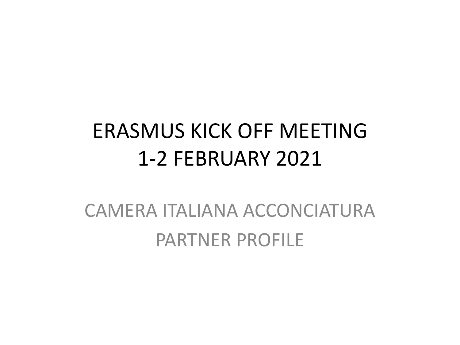#### ERASMUS KICK OFF MEETING 1-2 FEBRUARY 2021

#### CAMERA ITALIANA ACCONCIATURA PARTNER PROFILE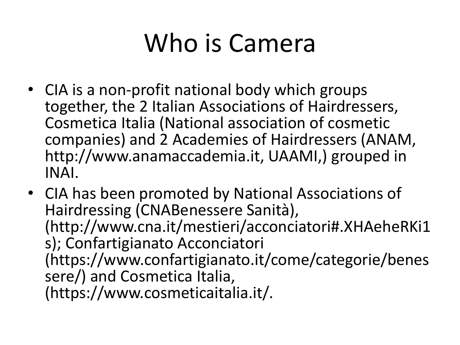### Who is Camera

- CIA is a non-profit national body which groups together, the 2 Italian Associations of Hairdressers, Cosmetica Italia (National association of cosmetic companies) and 2 Academies of Hairdressers (ANAM, http://www.anamaccademia.it, UAAMI,) grouped in INAI.
- CIA has been promoted by National Associations of Hairdressing (CNABenessere Sanità), (http://www.cna.it/mestieri/acconciatori#.XHAeheRKi1 s); Confartigianato Acconciatori (https://www.confartigianato.it/come/categorie/benes sere/) and Cosmetica Italia, (https://www.cosmeticaitalia.it/.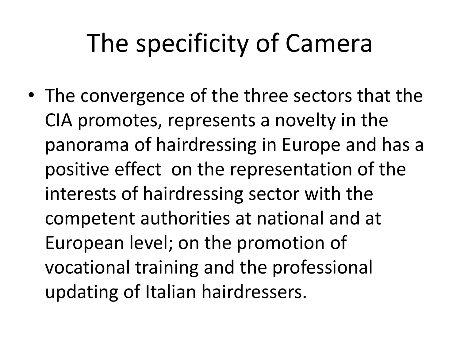# The specificity of Camera

• The convergence of the three sectors that the CIA promotes, represents a novelty in the panorama of hairdressing in Europe and has a positive effect on the representation of the interests of hairdressing sector with the competent authorities at national and at European level; on the promotion of vocational training and the professional updating of Italian hairdressers.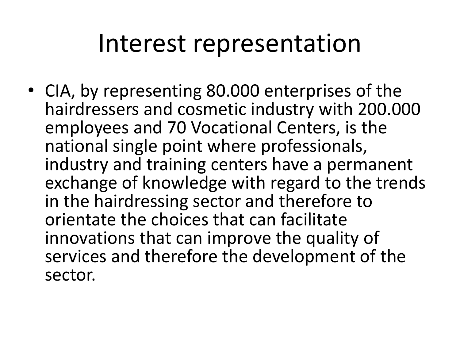#### Interest representation

• CIA, by representing 80.000 enterprises of the hairdressers and cosmetic industry with 200.000 employees and 70 Vocational Centers, is the national single point where professionals, industry and training centers have a permanent exchange of knowledge with regard to the trends in the hairdressing sector and therefore to orientate the choices that can facilitate innovations that can improve the quality of services and therefore the development of the sector.